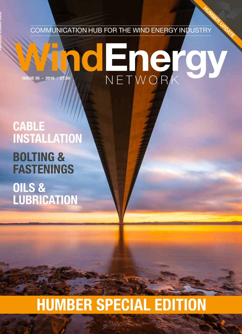COMMUNICATION HUB FOR THE WIND ENERGY INDUSTRY HUMBER UPDATE

# O HOPE OV ISSUE 35 - 2016 £7.50

## CABLE INSTALLATION

**WIND ENERGY NETWORK**

## BOLTING & FASTENINGS OILS & LUBRICATION

# HUMBER SPECIAL EDITION